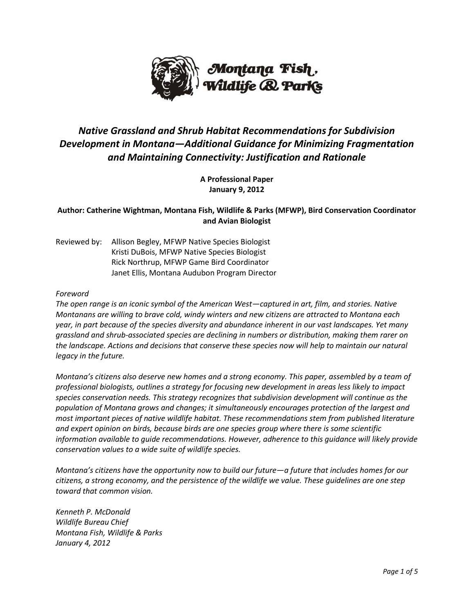

# *Native Grassland and Shrub Habitat Recommendations for Subdivision Development in Montana—Additional Guidance for Minimizing Fragmentation and Maintaining Connectivity: Justification and Rationale*

**A Professional Paper January 9, 2012**

# **Author: Catherine Wightman, Montana Fish, Wildlife & Parks (MFWP), Bird Conservation Coordinator and Avian Biologist**

Reviewed by: Allison Begley, MFWP Native Species Biologist Kristi DuBois, MFWP Native Species Biologist Rick Northrup, MFWP Game Bird Coordinator Janet Ellis, Montana Audubon Program Director

### *Foreword*

*The open range is an iconic symbol of the American West—captured in art, film, and stories. Native Montanans are willing to brave cold, windy winters and new citizens are attracted to Montana each year, in part because of the species diversity and abundance inherent in our vast landscapes. Yet many grassland and shrub-associated species are declining in numbers or distribution, making them rarer on the landscape. Actions and decisions that conserve these species now will help to maintain our natural legacy in the future.* 

*Montana's citizens also deserve new homes and a strong economy. This paper, assembled by a team of professional biologists, outlines a strategy for focusing new development in areas less likely to impact species conservation needs. This strategy recognizes that subdivision development will continue as the population of Montana grows and changes; it simultaneously encourages protection of the largest and most important pieces of native wildlife habitat. These recommendations stem from published literature and expert opinion on birds, because birds are one species group where there is some scientific information available to guide recommendations. However, adherence to this guidance will likely provide conservation values to a wide suite of wildlife species.* 

*Montana's citizens have the opportunity now to build our future—a future that includes homes for our citizens, a strong economy, and the persistence of the wildlife we value. These guidelines are one step toward that common vision.* 

*Kenneth P. McDonald Wildlife Bureau Chief Montana Fish, Wildlife & Parks January 4, 2012*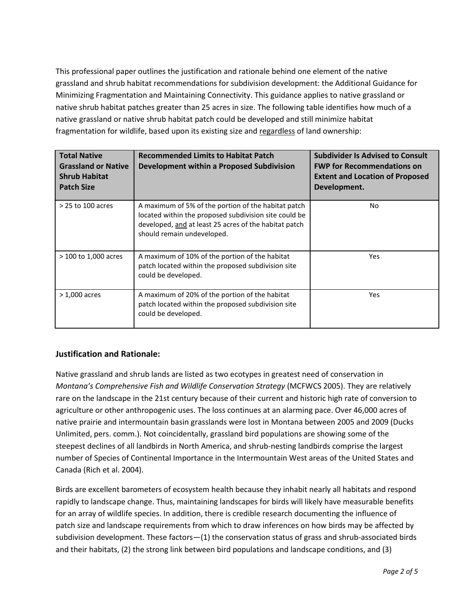This professional paper outlines the justification and rationale behind one element of the native grassland and shrub habitat recommendations for subdivision development: the Additional Guidance for Minimizing Fragmentation and Maintaining Connectivity. This guidance applies to native grassland or native shrub habitat patches greater than 25 acres in size. The following table identifies how much of a native grassland or native shrub habitat patch could be developed and still minimize habitat fragmentation for wildlife, based upon its existing size and regardless of land ownership:

| <b>Total Native</b><br><b>Grassland or Native</b><br><b>Shrub Habitat</b><br><b>Patch Size</b> | <b>Recommended Limits to Habitat Patch</b><br>Development within a Proposed Subdivision                                                                                                             | <b>Subdivider Is Advised to Consult</b><br><b>FWP for Recommendations on</b><br><b>Extent and Location of Proposed</b><br>Development. |
|------------------------------------------------------------------------------------------------|-----------------------------------------------------------------------------------------------------------------------------------------------------------------------------------------------------|----------------------------------------------------------------------------------------------------------------------------------------|
| $>$ 25 to 100 acres                                                                            | A maximum of 5% of the portion of the habitat patch<br>located within the proposed subdivision site could be<br>developed, and at least 25 acres of the habitat patch<br>should remain undeveloped. | No                                                                                                                                     |
| $>$ 100 to 1,000 acres                                                                         | A maximum of 10% of the portion of the habitat<br>patch located within the proposed subdivision site<br>could be developed.                                                                         | <b>Yes</b>                                                                                                                             |
| $>1,000$ acres                                                                                 | A maximum of 20% of the portion of the habitat<br>patch located within the proposed subdivision site<br>could be developed.                                                                         | Yes                                                                                                                                    |

# **Justification and Rationale:**

Native grassland and shrub lands are listed as two ecotypes in greatest need of conservation in *Montana's Comprehensive Fish and Wildlife Conservation Strategy* (MCFWCS 2005). They are relatively rare on the landscape in the 21st century because of their current and historic high rate of conversion to agriculture or other anthropogenic uses. The loss continues at an alarming pace. Over 46,000 acres of native prairie and intermountain basin grasslands were lost in Montana between 2005 and 2009 (Ducks Unlimited, pers. comm.). Not coincidentally, grassland bird populations are showing some of the steepest declines of all landbirds in North America, and shrub-nesting landbirds comprise the largest number of Species of Continental Importance in the Intermountain West areas of the United States and Canada (Rich et al. 2004).

Birds are excellent barometers of ecosystem health because they inhabit nearly all habitats and respond rapidly to landscape change. Thus, maintaining landscapes for birds will likely have measurable benefits for an array of wildlife species. In addition, there is credible research documenting the influence of patch size and landscape requirements from which to draw inferences on how birds may be affected by subdivision development. These factors—(1) the conservation status of grass and shrub-associated birds and their habitats, (2) the strong link between bird populations and landscape conditions, and (3)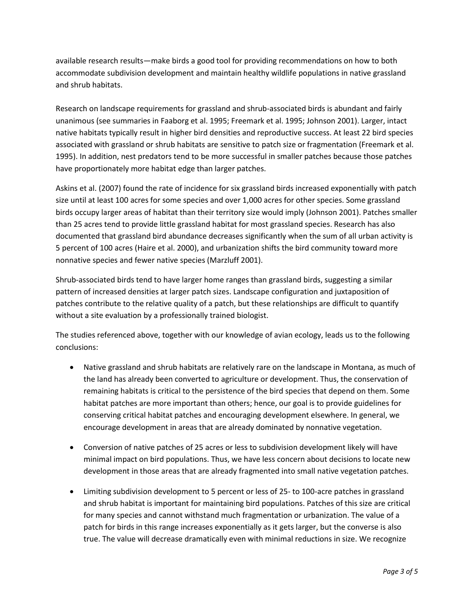available research results—make birds a good tool for providing recommendations on how to both accommodate subdivision development and maintain healthy wildlife populations in native grassland and shrub habitats.

Research on landscape requirements for grassland and shrub-associated birds is abundant and fairly unanimous (see summaries in Faaborg et al. 1995; Freemark et al. 1995; Johnson 2001). Larger, intact native habitats typically result in higher bird densities and reproductive success. At least 22 bird species associated with grassland or shrub habitats are sensitive to patch size or fragmentation (Freemark et al. 1995). In addition, nest predators tend to be more successful in smaller patches because those patches have proportionately more habitat edge than larger patches.

Askins et al. (2007) found the rate of incidence for six grassland birds increased exponentially with patch size until at least 100 acres for some species and over 1,000 acres for other species. Some grassland birds occupy larger areas of habitat than their territory size would imply (Johnson 2001). Patches smaller than 25 acres tend to provide little grassland habitat for most grassland species. Research has also documented that grassland bird abundance decreases significantly when the sum of all urban activity is 5 percent of 100 acres (Haire et al. 2000), and urbanization shifts the bird community toward more nonnative species and fewer native species (Marzluff 2001).

Shrub-associated birds tend to have larger home ranges than grassland birds, suggesting a similar pattern of increased densities at larger patch sizes. Landscape configuration and juxtaposition of patches contribute to the relative quality of a patch, but these relationships are difficult to quantify without a site evaluation by a professionally trained biologist.

The studies referenced above, together with our knowledge of avian ecology, leads us to the following conclusions:

- Native grassland and shrub habitats are relatively rare on the landscape in Montana, as much of the land has already been converted to agriculture or development. Thus, the conservation of remaining habitats is critical to the persistence of the bird species that depend on them. Some habitat patches are more important than others; hence, our goal is to provide guidelines for conserving critical habitat patches and encouraging development elsewhere. In general, we encourage development in areas that are already dominated by nonnative vegetation.
- Conversion of native patches of 25 acres or less to subdivision development likely will have minimal impact on bird populations. Thus, we have less concern about decisions to locate new development in those areas that are already fragmented into small native vegetation patches.
- Limiting subdivision development to 5 percent or less of 25- to 100-acre patches in grassland and shrub habitat is important for maintaining bird populations. Patches of this size are critical for many species and cannot withstand much fragmentation or urbanization. The value of a patch for birds in this range increases exponentially as it gets larger, but the converse is also true. The value will decrease dramatically even with minimal reductions in size. We recognize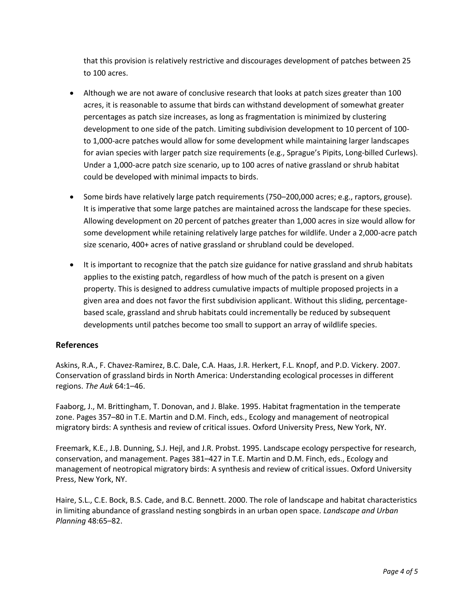that this provision is relatively restrictive and discourages development of patches between 25 to 100 acres.

- Although we are not aware of conclusive research that looks at patch sizes greater than 100 acres, it is reasonable to assume that birds can withstand development of somewhat greater percentages as patch size increases, as long as fragmentation is minimized by clustering development to one side of the patch. Limiting subdivision development to 10 percent of 100 to 1,000-acre patches would allow for some development while maintaining larger landscapes for avian species with larger patch size requirements (e.g., Sprague's Pipits, Long-billed Curlews). Under a 1,000-acre patch size scenario, up to 100 acres of native grassland or shrub habitat could be developed with minimal impacts to birds.
- Some birds have relatively large patch requirements (750–200,000 acres; e.g., raptors, grouse). It is imperative that some large patches are maintained across the landscape for these species. Allowing development on 20 percent of patches greater than 1,000 acres in size would allow for some development while retaining relatively large patches for wildlife. Under a 2,000-acre patch size scenario, 400+ acres of native grassland or shrubland could be developed.
- It is important to recognize that the patch size guidance for native grassland and shrub habitats applies to the existing patch, regardless of how much of the patch is present on a given property. This is designed to address cumulative impacts of multiple proposed projects in a given area and does not favor the first subdivision applicant. Without this sliding, percentagebased scale, grassland and shrub habitats could incrementally be reduced by subsequent developments until patches become too small to support an array of wildlife species.

# **References**

Askins, R.A., F. Chavez-Ramirez, B.C. Dale, C.A. Haas, J.R. Herkert, F.L. Knopf, and P.D. Vickery. 2007. Conservation of grassland birds in North America: Understanding ecological processes in different regions. *The Auk* 64:1–46.

Faaborg, J., M. Brittingham, T. Donovan, and J. Blake. 1995. Habitat fragmentation in the temperate zone. Pages 357–80 in T.E. Martin and D.M. Finch, eds., Ecology and management of neotropical migratory birds: A synthesis and review of critical issues. Oxford University Press, New York, NY.

Freemark, K.E., J.B. Dunning, S.J. Hejl, and J.R. Probst. 1995. Landscape ecology perspective for research, conservation, and management. Pages 381–427 in T.E. Martin and D.M. Finch, eds., Ecology and management of neotropical migratory birds: A synthesis and review of critical issues. Oxford University Press, New York, NY.

Haire, S.L., C.E. Bock, B.S. Cade, and B.C. Bennett. 2000. The role of landscape and habitat characteristics in limiting abundance of grassland nesting songbirds in an urban open space. *Landscape and Urban Planning* 48:65–82.